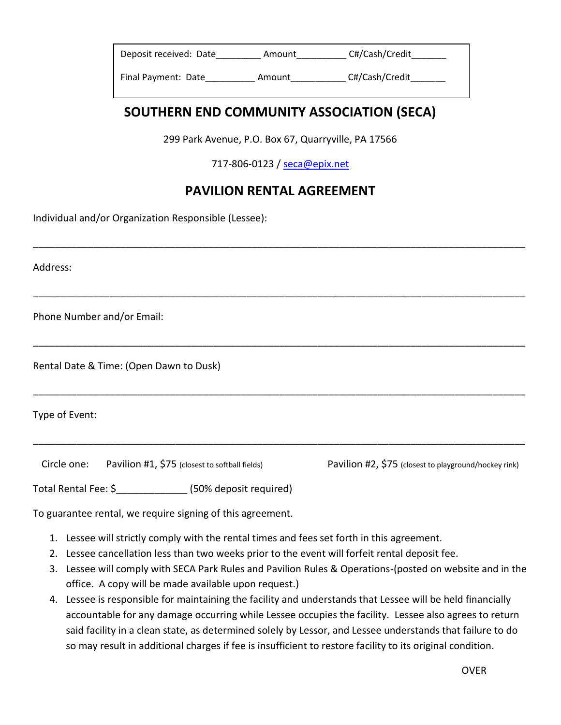| Deposit received: Date | Amount | C#/Cash/Credit |
|------------------------|--------|----------------|
| Final Payment: Date    | Amount | C#/Cash/Credit |

## **SOUTHERN END COMMUNITY ASSOCIATION (SECA)**

299 Park Avenue, P.O. Box 67, Quarryville, PA 17566

717-806-0123 / [seca@epix.net](mailto:seca@epix.net)

## **PAVILION RENTAL AGREEMENT**

\_\_\_\_\_\_\_\_\_\_\_\_\_\_\_\_\_\_\_\_\_\_\_\_\_\_\_\_\_\_\_\_\_\_\_\_\_\_\_\_\_\_\_\_\_\_\_\_\_\_\_\_\_\_\_\_\_\_\_\_\_\_\_\_\_\_\_\_\_\_\_\_\_\_\_\_\_\_\_\_\_\_\_\_\_\_\_\_\_\_

\_\_\_\_\_\_\_\_\_\_\_\_\_\_\_\_\_\_\_\_\_\_\_\_\_\_\_\_\_\_\_\_\_\_\_\_\_\_\_\_\_\_\_\_\_\_\_\_\_\_\_\_\_\_\_\_\_\_\_\_\_\_\_\_\_\_\_\_\_\_\_\_\_\_\_\_\_\_\_\_\_\_\_\_\_\_\_\_\_\_

\_\_\_\_\_\_\_\_\_\_\_\_\_\_\_\_\_\_\_\_\_\_\_\_\_\_\_\_\_\_\_\_\_\_\_\_\_\_\_\_\_\_\_\_\_\_\_\_\_\_\_\_\_\_\_\_\_\_\_\_\_\_\_\_\_\_\_\_\_\_\_\_\_\_\_\_\_\_\_\_\_\_\_\_\_\_\_\_\_\_

\_\_\_\_\_\_\_\_\_\_\_\_\_\_\_\_\_\_\_\_\_\_\_\_\_\_\_\_\_\_\_\_\_\_\_\_\_\_\_\_\_\_\_\_\_\_\_\_\_\_\_\_\_\_\_\_\_\_\_\_\_\_\_\_\_\_\_\_\_\_\_\_\_\_\_\_\_\_\_\_\_\_\_\_\_\_\_\_\_\_

\_\_\_\_\_\_\_\_\_\_\_\_\_\_\_\_\_\_\_\_\_\_\_\_\_\_\_\_\_\_\_\_\_\_\_\_\_\_\_\_\_\_\_\_\_\_\_\_\_\_\_\_\_\_\_\_\_\_\_\_\_\_\_\_\_\_\_\_\_\_\_\_\_\_\_\_\_\_\_\_\_\_\_\_\_\_\_\_\_\_

Individual and/or Organization Responsible (Lessee):

Address:

Phone Number and/or Email:

Rental Date & Time: (Open Dawn to Dusk)

Type of Event:

Circle one: Pavilion #1, \$75 (closest to softball fields) Pavilion #2, \$75 (closest to playground/hockey rink)

Total Rental Fee: \$\_\_\_\_\_\_\_\_\_\_\_\_\_ (50% deposit required)

To guarantee rental, we require signing of this agreement.

- 1. Lessee will strictly comply with the rental times and fees set forth in this agreement.
- 2. Lessee cancellation less than two weeks prior to the event will forfeit rental deposit fee.
- 3. Lessee will comply with SECA Park Rules and Pavilion Rules & Operations-(posted on website and in the office. A copy will be made available upon request.)
- 4. Lessee is responsible for maintaining the facility and understands that Lessee will be held financially accountable for any damage occurring while Lessee occupies the facility. Lessee also agrees to return said facility in a clean state, as determined solely by Lessor, and Lessee understands that failure to do so may result in additional charges if fee is insufficient to restore facility to its original condition.